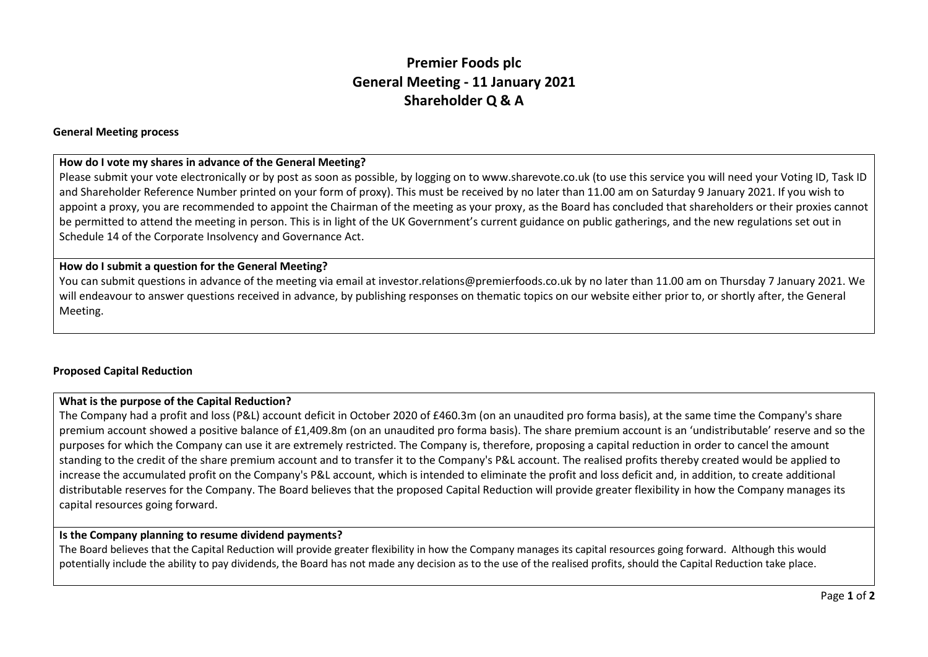# **Premier Foods plc General Meeting - 11 January 2021 Shareholder Q & A**

## **General Meeting process**

## **How do I vote my shares in advance of the General Meeting?**

Please submit your vote electronically or by post as soon as possible, by logging on to www.sharevote.co.uk (to use this service you will need your Voting ID, Task ID and Shareholder Reference Number printed on your form of proxy). This must be received by no later than 11.00 am on Saturday 9 January 2021. If you wish to appoint a proxy, you are recommended to appoint the Chairman of the meeting as your proxy, as the Board has concluded that shareholders or their proxies cannot be permitted to attend the meeting in person. This is in light of the UK Government's current guidance on public gatherings, and the new regulations set out in Schedule 14 of the Corporate Insolvency and Governance Act.

## **How do I submit a question for the General Meeting?**

You can submit questions in advance of the meeting via email at investor.relations@premierfoods.co.uk by no later than 11.00 am on Thursday 7 January 2021. We will endeavour to answer questions received in advance, by publishing responses on thematic topics on our website either prior to, or shortly after, the General Meeting.

# **Proposed Capital Reduction**

# **What is the purpose of the Capital Reduction?**

The Company had a profit and loss (P&L) account deficit in October 2020 of £460.3m (on an unaudited pro forma basis), at the same time the Company's share premium account showed a positive balance of £1,409.8m (on an unaudited pro forma basis). The share premium account is an 'undistributable' reserve and so the purposes for which the Company can use it are extremely restricted. The Company is, therefore, proposing a capital reduction in order to cancel the amount standing to the credit of the share premium account and to transfer it to the Company's P&L account. The realised profits thereby created would be applied to increase the accumulated profit on the Company's P&L account, which is intended to eliminate the profit and loss deficit and, in addition, to create additional distributable reserves for the Company. The Board believes that the proposed Capital Reduction will provide greater flexibility in how the Company manages its capital resources going forward.

#### **Is the Company planning to resume dividend payments?**

The Board believes that the Capital Reduction will provide greater flexibility in how the Company manages its capital resources going forward. Although this would potentially include the ability to pay dividends, the Board has not made any decision as to the use of the realised profits, should the Capital Reduction take place.